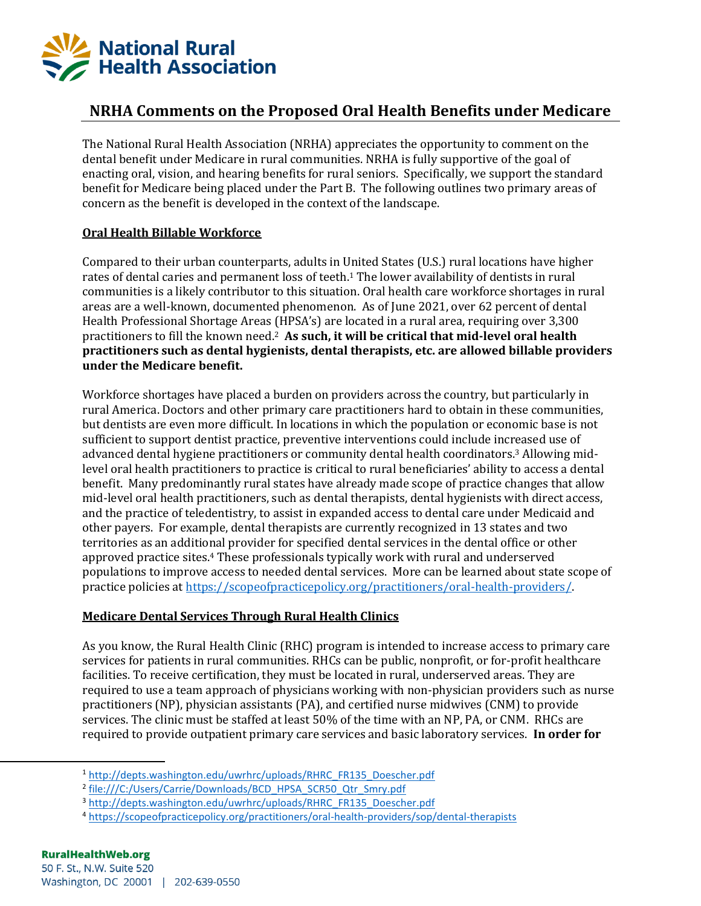

## **NRHA Comments on the Proposed Oral Health Benefits under Medicare**

The National Rural Health Association (NRHA) appreciates the opportunity to comment on the dental benefit under Medicare in rural communities. NRHA is fully supportive of the goal of enacting oral, vision, and hearing benefits for rural seniors. Specifically, we support the standard benefit for Medicare being placed under the Part B. The following outlines two primary areas of concern as the benefit is developed in the context of the landscape.

## **Oral Health Billable Workforce**

Compared to their urban counterparts, adults in United States (U.S.) rural locations have higher rates of dental caries and permanent loss of teeth.<sup>1</sup> The lower availability of dentists in rural communities is a likely contributor to this situation. Oral health care workforce shortages in rural areas are a well-known, documented phenomenon. As of June 2021, over 62 percent of dental Health Professional Shortage Areas (HPSA's) are located in a rural area, requiring over 3,300 practitioners to fill the known need.<sup>2</sup> **As such, it will be critical that mid-level oral health practitioners such as dental hygienists, dental therapists, etc. are allowed billable providers under the Medicare benefit.**

Workforce shortages have placed a burden on providers across the country, but particularly in rural America. Doctors and other primary care practitioners hard to obtain in these communities, but dentists are even more difficult. In locations in which the population or economic base is not sufficient to support dentist practice, preventive interventions could include increased use of advanced dental hygiene practitioners or community dental health coordinators.<sup>3</sup> Allowing midlevel oral health practitioners to practice is critical to rural beneficiaries' ability to access a dental benefit. Many predominantly rural states have already made scope of practice changes that allow mid-level oral health practitioners, such as dental therapists, dental hygienists with direct access, and the practice of teledentistry, to assist in expanded access to dental care under Medicaid and other payers. For example, dental therapists are currently recognized in 13 states and two territories as an additional provider for specified dental services in the dental office or other approved practice sites.<sup>4</sup> These professionals typically work with rural and underserved populations to improve access to needed dental services. More can be learned about state scope of practice policies at [https://scopeofpracticepolicy.org/practitioners/oral-health-providers/.](https://scopeofpracticepolicy.org/practitioners/oral-health-providers/) 

## **Medicare Dental Services Through Rural Health Clinics**

As you know, the Rural Health Clinic (RHC) program is intended to increase access to primary care services for patients in rural communities. RHCs can be public, nonprofit, or for-profit healthcare facilities. To receive certification, they must be located in rural, underserved areas. They are required to use a team approach of physicians working with non-physician providers such as nurse practitioners (NP), physician assistants (PA), and certified nurse midwives (CNM) to provide services. The clinic must be staffed at least 50% of the time with an NP, PA, or CNM. RHCs are required to provide outpatient primary care services and basic laboratory services. **In order for** 

<sup>1</sup> [http://depts.washington.edu/uwrhrc/uploads/RHRC\\_FR135\\_Doescher.pdf](http://depts.washington.edu/uwrhrc/uploads/RHRC_FR135_Doescher.pdf)

<sup>&</sup>lt;sup>2</sup> [file:///C:/Users/Carrie/Downloads/BCD\\_HPSA\\_SCR50\\_Qtr\\_Smry.pdf](file:///C:/Users/Carrie/Downloads/BCD_HPSA_SCR50_Qtr_Smry.pdf)

<sup>3</sup> [http://depts.washington.edu/uwrhrc/uploads/RHRC\\_FR135\\_Doescher.pdf](http://depts.washington.edu/uwrhrc/uploads/RHRC_FR135_Doescher.pdf)

<sup>4</sup> <https://scopeofpracticepolicy.org/practitioners/oral-health-providers/sop/dental-therapists>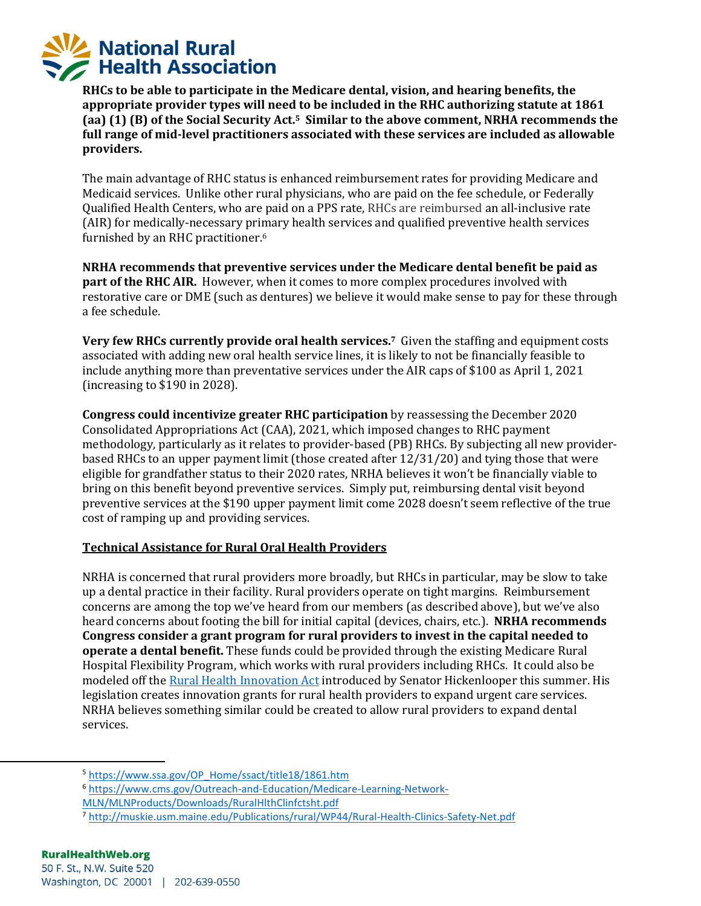**L** National Rural **Health Association** 

> **RHCs to be able to participate in the Medicare dental, vision, and hearing benefits, the appropriate provider types will need to be included in the RHC authorizing statute at 1861 (aa) (1) (B) of the Social Security Act.5 Similar to the above comment, NRHA recommends the full range of mid-level practitioners associated with these services are included as allowable providers.**

The main advantage of RHC status is enhanced reimbursement rates for providing Medicare and Medicaid services. Unlike other rural physicians, who are paid on the fee schedule, or Federally Qualified Health Centers, who are paid on a PPS rate, RHCs are reimbursed an all-inclusive rate (AIR) for medically-necessary primary health services and qualified preventive health services furnished by an RHC practitioner.<sup>6</sup>

**NRHA recommends that preventive services under the Medicare dental benefit be paid as part of the RHC AIR.** However, when it comes to more complex procedures involved with restorative care or DME (such as dentures) we believe it would make sense to pay for these through a fee schedule.

**Very few RHCs currently provide oral health services.<sup>7</sup>** Given the staffing and equipment costs associated with adding new oral health service lines, it is likely to not be financially feasible to include anything more than preventative services under the AIR caps of \$100 as April 1, 2021 (increasing to \$190 in 2028).

**Congress could incentivize greater RHC participation** by reassessing the December 2020 Consolidated Appropriations Act (CAA), 2021, which imposed changes to RHC payment methodology, particularly as it relates to provider-based (PB) RHCs. By subjecting all new providerbased RHCs to an upper payment limit (those created after 12/31/20) and tying those that were eligible for grandfather status to their 2020 rates, NRHA believes it won't be financially viable to bring on this benefit beyond preventive services. Simply put, reimbursing dental visit beyond preventive services at the \$190 upper payment limit come 2028 doesn't seem reflective of the true cost of ramping up and providing services.

## **Technical Assistance for Rural Oral Health Providers**

NRHA is concerned that rural providers more broadly, but RHCs in particular, may be slow to take up a dental practice in their facility. Rural providers operate on tight margins. Reimbursement concerns are among the top we've heard from our members (as described above), but we've also heard concerns about footing the bill for initial capital (devices, chairs, etc.). **NRHA recommends Congress consider a grant program for rural providers to invest in the capital needed to operate a dental benefit.** These funds could be provided through the existing Medicare Rural Hospital Flexibility Program, which works with rural providers including RHCs. It could also be modeled off the [Rural Health Innovation Act](https://www.congress.gov/bill/117th-congress/senate-bill/2450) introduced by Senator Hickenlooper this summer. His legislation creates innovation grants for rural health providers to expand urgent care services. NRHA believes something similar could be created to allow rural providers to expand dental services.

[MLN/MLNProducts/Downloads/RuralHlthClinfctsht.pdf](https://www.cms.gov/Outreach-and-Education/Medicare-Learning-Network-MLN/MLNProducts/Downloads/RuralHlthClinfctsht.pdf)

<sup>5</sup> [https://www.ssa.gov/OP\\_Home/ssact/title18/1861.htm](https://www.ssa.gov/OP_Home/ssact/title18/1861.htm)

<sup>6</sup> [https://www.cms.gov/Outreach-and-Education/Medicare-Learning-Network-](https://www.cms.gov/Outreach-and-Education/Medicare-Learning-Network-MLN/MLNProducts/Downloads/RuralHlthClinfctsht.pdf)

<sup>7</sup> <http://muskie.usm.maine.edu/Publications/rural/WP44/Rural-Health-Clinics-Safety-Net.pdf>